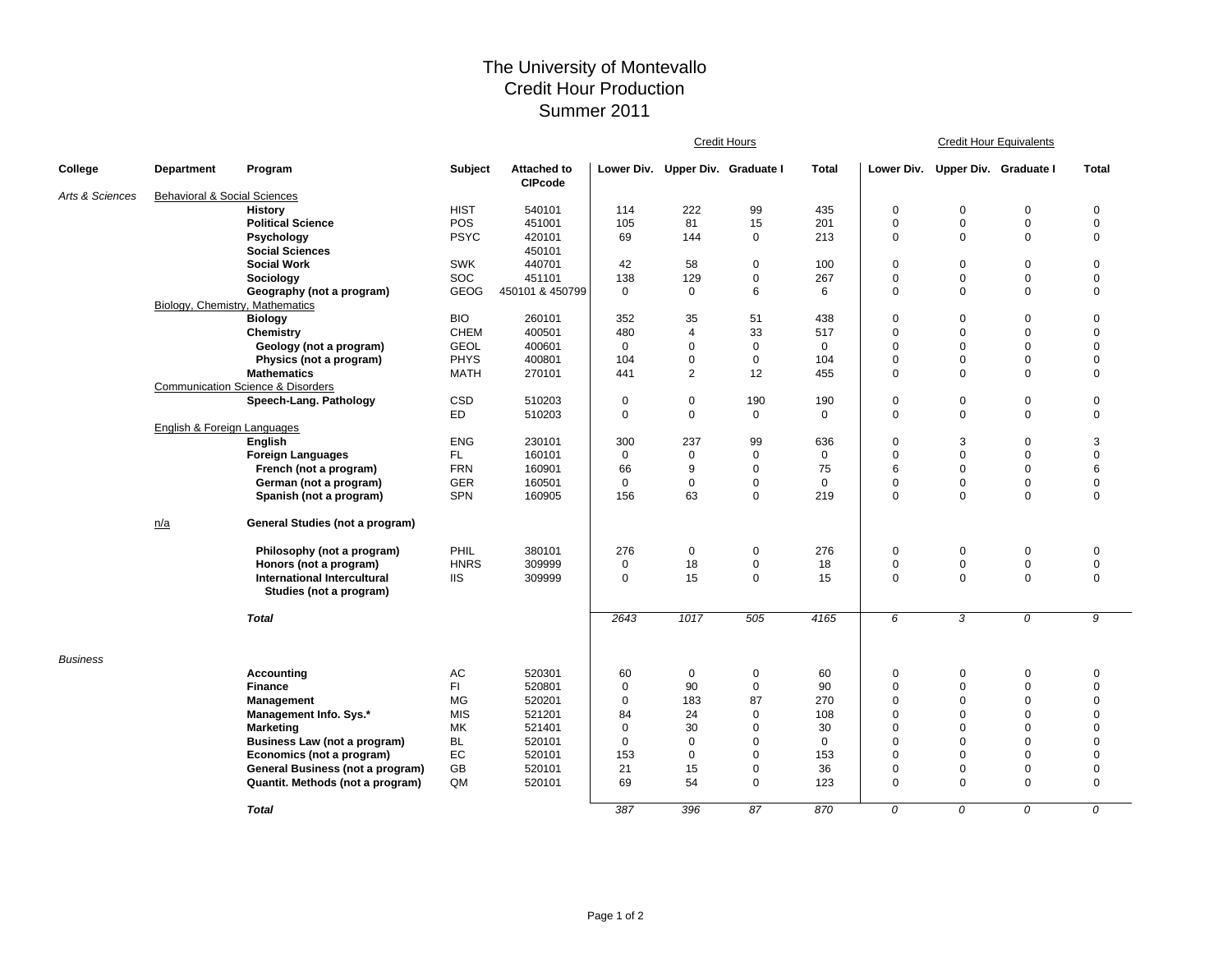## The University of Montevallo Credit Hour Production Summer 2011

|                 |                                         |                                                                        |                |                                      | <b>Credit Hours</b> |                |                                  |             | <b>Credit Hour Equivalents</b> |                            |                            |              |  |
|-----------------|-----------------------------------------|------------------------------------------------------------------------|----------------|--------------------------------------|---------------------|----------------|----------------------------------|-------------|--------------------------------|----------------------------|----------------------------|--------------|--|
| College         | Department                              | Program                                                                | <b>Subject</b> | <b>Attached to</b><br><b>CIPcode</b> |                     |                | Lower Div. Upper Div. Graduate I | Total       | Lower Div.                     | Upper Div. Graduate I      |                            | <b>Total</b> |  |
| Arts & Sciences | <b>Behavioral &amp; Social Sciences</b> |                                                                        |                |                                      |                     |                |                                  |             |                                |                            |                            |              |  |
|                 |                                         | <b>History</b>                                                         | <b>HIST</b>    | 540101                               | 114                 | 222            | 99                               | 435         | 0                              | $\mathbf 0$                | $\mathbf 0$                | $\mathbf 0$  |  |
|                 |                                         | <b>Political Science</b>                                               | POS            | 451001                               | 105                 | 81             | 15                               | 201         | 0                              | $\mathbf 0$                | $\mathsf 0$                | $\mathbf 0$  |  |
|                 |                                         | Psychology                                                             | <b>PSYC</b>    | 420101                               | 69                  | 144            | $\mathbf 0$                      | 213         | 0                              | $\mathbf 0$                | $\mathbf 0$                | $\mathbf 0$  |  |
|                 |                                         | <b>Social Sciences</b>                                                 |                | 450101                               |                     |                |                                  |             |                                |                            |                            |              |  |
|                 |                                         | <b>Social Work</b>                                                     | <b>SWK</b>     | 440701                               | 42                  | 58             | $\mathbf 0$                      | 100         | 0                              | $\mathbf 0$                | $\mathsf 0$                | $\mathbf 0$  |  |
|                 |                                         | Sociology                                                              | SOC            | 451101                               | 138                 | 129            | $\mathbf 0$                      | 267         | 0                              | $\mathbf 0$                | $\mathbf 0$                | $\mathbf 0$  |  |
|                 |                                         | Geography (not a program)                                              | GEOG           | 450101 & 450799                      | $\mathbf 0$         | $\mathbf 0$    | 6                                | 6           | 0                              | $\mathbf 0$                | $\mathbf 0$                | $\mathbf 0$  |  |
|                 | Biology, Chemistry, Mathematics         |                                                                        |                |                                      |                     |                |                                  |             |                                |                            |                            |              |  |
|                 |                                         | <b>Biology</b>                                                         | <b>BIO</b>     | 260101                               | 352                 | 35             | 51                               | 438         | 0                              | $\mathbf 0$                | $\mathsf 0$                | $\mathbf 0$  |  |
|                 |                                         | Chemistry                                                              | <b>CHEM</b>    | 400501                               | 480                 | $\overline{4}$ | 33                               | 517         | 0                              | $\mathbf 0$                | $\mathbf 0$                | $\mathbf 0$  |  |
|                 |                                         | Geology (not a program)                                                | <b>GEOL</b>    | 400601                               | $\mathbf 0$         | $\mathbf 0$    | $\mathbf 0$                      | $\mathbf 0$ | 0                              | $\mathbf 0$                | $\mathbf 0$                | $\mathbf 0$  |  |
|                 |                                         | Physics (not a program)                                                | <b>PHYS</b>    | 400801                               | 104                 | $\pmb{0}$      | $\mathbf 0$                      | 104         | 0                              | $\mathbf 0$<br>$\mathbf 0$ | $\mathbf 0$<br>$\mathbf 0$ | $\mathbf 0$  |  |
|                 |                                         | <b>Mathematics</b>                                                     | <b>MATH</b>    | 270101                               | 441                 | $\overline{2}$ | 12                               | 455         | 0                              |                            |                            | $\mathbf 0$  |  |
|                 |                                         | <b>Communication Science &amp; Disorders</b><br>Speech-Lang. Pathology | CSD            | 510203                               | 0                   | $\pmb{0}$      | 190                              | 190         | 0                              | $\mathbf 0$                | $\mathsf 0$                | $\mathbf 0$  |  |
|                 |                                         |                                                                        | <b>ED</b>      | 510203                               | $\mathbf 0$         | $\pmb{0}$      | $\mathbf 0$                      | $\mathbf 0$ | 0                              | $\mathbf 0$                | $\mathbf 0$                | $\mathbf 0$  |  |
|                 | English & Foreign Languages             |                                                                        |                |                                      |                     |                |                                  |             |                                |                            |                            |              |  |
|                 |                                         | English                                                                | <b>ENG</b>     | 230101                               | 300                 | 237            | 99                               | 636         | 0                              | 3                          | $\mathsf 0$                | 3            |  |
|                 |                                         | <b>Foreign Languages</b>                                               | FL.            | 160101                               | $\mathbf 0$         | $\mathbf 0$    | $\mathbf 0$                      | $\mathbf 0$ | 0                              | $\mathbf 0$                | $\mathbf 0$                | $\mathbf 0$  |  |
|                 |                                         | French (not a program)                                                 | <b>FRN</b>     | 160901                               | 66                  | 9              | $\mathbf 0$                      | 75          | 6                              | $\mathbf 0$                | $\mathbf 0$                | 6            |  |
|                 |                                         | German (not a program)                                                 | <b>GER</b>     | 160501                               | $\mathbf 0$         | $\mathbf 0$    | $\mathbf 0$                      | $\mathbf 0$ | 0                              | $\mathbf 0$                | $\mathbf 0$                | $\mathbf 0$  |  |
|                 |                                         | Spanish (not a program)                                                | SPN            | 160905                               | 156                 | 63             | $\mathbf 0$                      | 219         | 0                              | $\mathbf 0$                | $\mathbf 0$                | $\mathbf 0$  |  |
|                 | n/a                                     | General Studies (not a program)                                        |                |                                      |                     |                |                                  |             |                                |                            |                            |              |  |
|                 |                                         |                                                                        |                |                                      |                     |                |                                  |             |                                |                            |                            |              |  |
|                 |                                         | Philosophy (not a program)                                             | PHIL           | 380101                               | 276                 | $\mathbf 0$    | $\mathbf 0$                      | 276         | 0                              | $\pmb{0}$                  | $\pmb{0}$                  | $\pmb{0}$    |  |
|                 |                                         | Honors (not a program)                                                 | <b>HNRS</b>    | 309999                               | $\mathbf 0$         | 18             | $\mathbf 0$                      | 18          | 0                              | $\mathbf 0$                | $\mathsf 0$                | $\mathbf 0$  |  |
|                 |                                         | <b>International Intercultural</b>                                     | <b>IIS</b>     | 309999                               | $\mathbf 0$         | 15             | $\mathbf 0$                      | 15          | 0                              | $\mathbf 0$                | $\mathbf 0$                | $\mathbf 0$  |  |
|                 |                                         | Studies (not a program)                                                |                |                                      |                     |                |                                  |             |                                |                            |                            |              |  |
|                 |                                         | <b>Total</b>                                                           |                |                                      | 2643                | 1017           | 505                              | 4165        | 6                              | 3                          | $\overline{0}$             | 9            |  |
| <b>Business</b> |                                         |                                                                        |                |                                      |                     |                |                                  |             |                                |                            |                            |              |  |
|                 |                                         | Accounting                                                             | AC             | 520301                               | 60                  | 0              | $\mathbf 0$                      | 60          | 0                              | $\mathbf 0$                | $\pmb{0}$                  | $\mathbf 0$  |  |
|                 |                                         | Finance                                                                | FI             | 520801                               | $\mathbf 0$         | 90             | $\mathbf 0$                      | 90          | 0                              | $\mathbf 0$                | $\mathbf 0$                | $\pmb{0}$    |  |
|                 |                                         | Management                                                             | <b>MG</b>      | 520201                               | 0                   | 183            | 87                               | 270         | 0                              | $\mathbf 0$                | $\mathbf 0$                | $\mathbf 0$  |  |
|                 |                                         | Management Info. Sys.*                                                 | <b>MIS</b>     | 521201                               | 84                  | 24             | $\mathbf 0$                      | 108         | 0                              | $\mathbf 0$                | $\mathbf 0$                | $\mathbf 0$  |  |
|                 |                                         | Marketing                                                              | MK             | 521401                               | $\mathbf 0$         | 30             | $\mathbf 0$                      | 30          | 0                              | $\mathbf 0$                | $\mathbf 0$                | $\mathbf 0$  |  |
|                 |                                         | Business Law (not a program)                                           | <b>BL</b>      | 520101                               | $\mathbf 0$         | $\mathbf 0$    | $\mathbf 0$                      | $\Omega$    | 0                              | $\mathbf 0$                | $\mathbf 0$                | $\mathbf 0$  |  |
|                 |                                         | Economics (not a program)                                              | EC             | 520101                               | 153                 | $\mathbf 0$    | $\mathbf 0$                      | 153         | 0                              | $\mathbf 0$                | $\mathbf 0$                | $\mathbf 0$  |  |
|                 |                                         | General Business (not a program)                                       | GB             | 520101                               | 21                  | 15             | $\mathbf 0$                      | 36          | 0                              | $\mathbf 0$                | $\mathbf 0$                | $\mathbf 0$  |  |
|                 |                                         | Quantit. Methods (not a program)                                       | QM             | 520101                               | 69                  | 54             | $\mathbf 0$                      | 123         | 0                              | $\mathbf 0$                | $\mathbf 0$                | $\mathbf 0$  |  |
|                 |                                         | <b>Total</b>                                                           |                |                                      | 387                 | 396            | 87                               | 870         | 0                              | 0                          | 0                          | 0            |  |